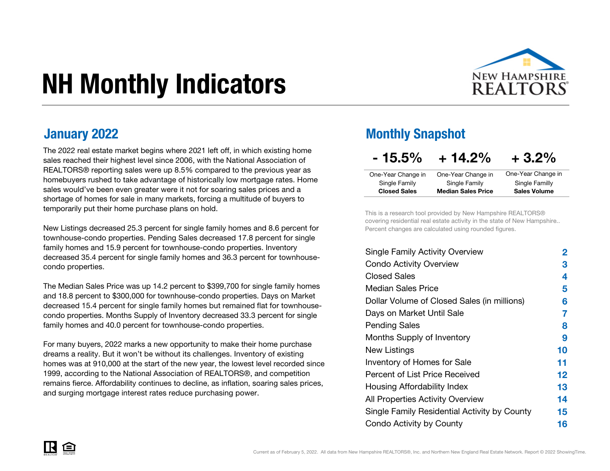# NH Monthly Indicators



The 2022 real estate market begins where 2021 left off, in which existing home sales reached their highest level since 2006, with the National Association of REALTORS® reporting sales were up 8.5% compared to the previous year as homebuyers rushed to take advantage of historically low mortgage rates. Home sales would've been even greater were it not for soaring sales prices and a shortage of homes for sale in many markets, forcing a multitude of buyers to temporarily put their home purchase plans on hold.

New Listings decreased 25.3 percent for single family homes and 8.6 percent for townhouse-condo properties. Pending Sales decreased 17.8 percent for single family homes and 15.9 percent for townhouse-condo properties. Inventory decreased 35.4 percent for single family homes and 36.3 percent for townhousecondo properties.

The Median Sales Price was up 14.2 percent to \$399,700 for single family homes and 18.8 percent to \$300,000 for townhouse-condo properties. Days on Market decreased 15.4 percent for single family homes but remained flat for townhousecondo properties. Months Supply of Inventory decreased 33.3 percent for single family homes and 40.0 percent for townhouse-condo properties.

For many buyers, 2022 marks a new opportunity to make their home purchase dreams a reality. But it won't be without its challenges. Inventory of existing homes was at 910,000 at the start of the new year, the lowest level recorded since 1999, according to the National Association of REALTORS®, and competition remains fierce. Affordability continues to decline, as inflation, soaring sales prices, and surging mortgage interest rates reduce purchasing power.

#### **January 2022** Monthly Snapshot

| $-15.5%$            | $+14.2%$                  | $+3.2\%$            |
|---------------------|---------------------------|---------------------|
| One-Year Change in  | One-Year Change in        | One-Year Change in  |
| Single Family       | Single Family             | Single Familly      |
| <b>Closed Sales</b> | <b>Median Sales Price</b> | <b>Sales Volume</b> |

This is a research tool provided by New Hampshire REALTORS® covering residential real estate activity in the state of New Hampshire.. Percent changes are calculated using rounded figures.

| <b>Single Family Activity Overview</b>       | 2       |
|----------------------------------------------|---------|
| <b>Condo Activity Overview</b>               | 3       |
| <b>Closed Sales</b>                          | 4       |
| <b>Median Sales Price</b>                    | 5       |
| Dollar Volume of Closed Sales (in millions)  | 6       |
| Days on Market Until Sale                    | 7       |
| Pending Sales                                | 8       |
| <b>Months Supply of Inventory</b>            | 9       |
| New Listings                                 | 10      |
| <b>Inventory of Homes for Sale</b>           | 11      |
| Percent of List Price Received               | $12 \,$ |
| Housing Affordability Index                  | 13      |
| All Properties Activity Overview             | 14      |
| Single Family Residential Activity by County | 15      |
| Condo Activity by County                     | 16      |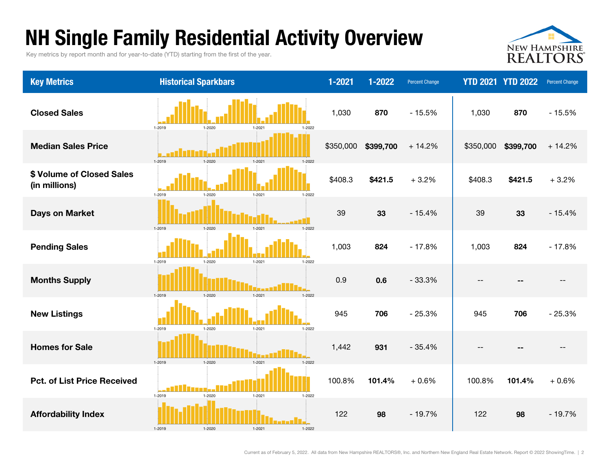### NH Single Family Residential Activity Overview

Key metrics by report month and for year-to-date (YTD) starting from the first of the year.



| <b>Key Metrics</b>                         | <b>Historical Sparkbars</b>                      | $1 - 2021$ | 1-2022    | <b>Percent Change</b> |                          | <b>YTD 2021 YTD 2022</b> | <b>Percent Change</b> |
|--------------------------------------------|--------------------------------------------------|------------|-----------|-----------------------|--------------------------|--------------------------|-----------------------|
| <b>Closed Sales</b>                        | 1-2019<br>1-2020<br>1-2021<br>1-2022             | 1,030      | 870       | $-15.5%$              | 1,030                    | 870                      | $-15.5%$              |
| <b>Median Sales Price</b>                  | 1-2019<br>$1 - 2020$<br>$1 - 2021$<br>1-2022     | \$350,000  | \$399,700 | $+14.2%$              | \$350,000                | \$399,700                | $+14.2%$              |
| \$ Volume of Closed Sales<br>(in millions) | 1-2019<br>1-2020<br>1-2021<br>1-2022             | \$408.3    | \$421.5   | $+3.2%$               | \$408.3                  | \$421.5                  | $+3.2%$               |
| <b>Days on Market</b>                      | 1-2019<br>$1 - 2020$<br>$1 - 2021$<br>$1 - 2022$ | 39         | 33        | $-15.4%$              | 39                       | 33                       | $-15.4%$              |
| <b>Pending Sales</b>                       | $1 - 2020$<br>$1 - 2021$<br>1-2019<br>$1 - 2022$ | 1,003      | 824       | $-17.8%$              | 1,003                    | 824                      | $-17.8%$              |
| <b>Months Supply</b>                       | $1 - 2020$<br>$1 - 2021$<br>$1 - 2019$<br>1-2022 | 0.9        | 0.6       | $-33.3%$              | $\overline{\phantom{a}}$ |                          |                       |
| <b>New Listings</b>                        | 1-2019<br>$1 - 2020$<br>$1 - 2021$<br>$1 - 2022$ | 945        | 706       | $-25.3%$              | 945                      | 706                      | $-25.3%$              |
| <b>Homes for Sale</b>                      | $1 - 2019$<br>$1 - 2020$<br>$1 - 2021$<br>1-2022 | 1,442      | 931       | $-35.4%$              | $-$                      |                          | $- -$                 |
| <b>Pct. of List Price Received</b>         | $1 - 2019$<br>$1 - 2020$<br>$1 - 2021$<br>1-2022 | 100.8%     | 101.4%    | $+0.6%$               | 100.8%                   | 101.4%                   | $+0.6%$               |
| <b>Affordability Index</b>                 | n an Mha<br>1-2020<br>1-2019<br>1-2021<br>1-2022 | 122        | 98        | $-19.7%$              | 122                      | 98                       | $-19.7%$              |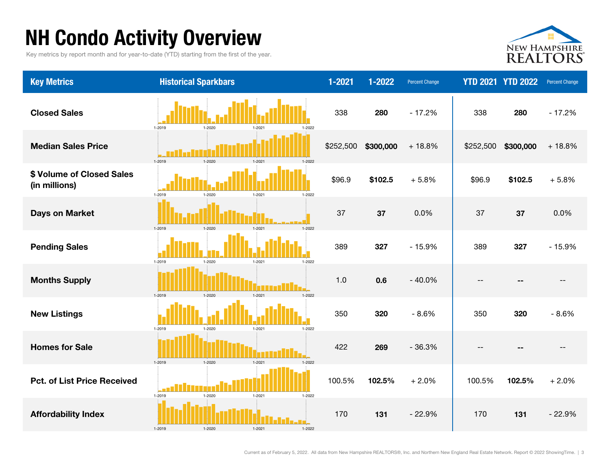### NH Condo Activity Overview

Key metrics by report month and for year-to-date (YTD) starting from the first of the year.



| <b>Key Metrics</b>                         | <b>Historical Sparkbars</b>                  | 1-2021    | 1-2022    | <b>Percent Change</b> |           | <b>YTD 2021 YTD 2022</b> | <b>Percent Change</b> |
|--------------------------------------------|----------------------------------------------|-----------|-----------|-----------------------|-----------|--------------------------|-----------------------|
| <b>Closed Sales</b>                        | 1-2019<br>1-2020<br>1-2021<br>1-2022         | 338       | 280       | $-17.2%$              | 338       | 280                      | $-17.2%$              |
| <b>Median Sales Price</b>                  | 1-2019<br>$1 - 2021$<br>1-2022<br>$1 - 2020$ | \$252,500 | \$300,000 | $+18.8%$              | \$252,500 | \$300,000                | $+18.8%$              |
| \$ Volume of Closed Sales<br>(in millions) | 1-2019<br>1-2021<br>1-2022<br>1-2020         | \$96.9    | \$102.5   | $+5.8%$               | \$96.9    | \$102.5                  | $+5.8%$               |
| <b>Days on Market</b>                      | 1-2021<br>1-2019<br>1-2020                   | 37        | 37        | 0.0%                  | 37        | 37                       | 0.0%                  |
| <b>Pending Sales</b>                       | 1-2019<br>1-2022<br>1-2020<br>$1 - 2021$     | 389       | 327       | $-15.9%$              | 389       | 327                      | $-15.9%$              |
| <b>Months Supply</b>                       | 1-2019<br>1-2020<br>$1 - 2021$<br>1-2022     | 1.0       | 0.6       | $-40.0%$              | $- -$     | --                       |                       |
| <b>New Listings</b>                        | 1-2019<br>$1 - 2021$<br>1-2020<br>$1 - 2022$ | 350       | 320       | $-8.6%$               | 350       | 320                      | $-8.6%$               |
| <b>Homes for Sale</b>                      | 1-2019<br>1-2020<br>1-2021                   | 422       | 269       | $-36.3%$              | $- -$     |                          | $\qquad \qquad -$     |
| <b>Pct. of List Price Received</b>         | 1-2019<br>1-2020<br>$1 - 2021$<br>1-2022     | 100.5%    | 102.5%    | $+2.0%$               | 100.5%    | 102.5%                   | $+2.0%$               |
| <b>Affordability Index</b>                 | 1-2019<br>1-2021<br>1-2022                   | 170       | 131       | $-22.9%$              | 170       | 131                      | $-22.9%$              |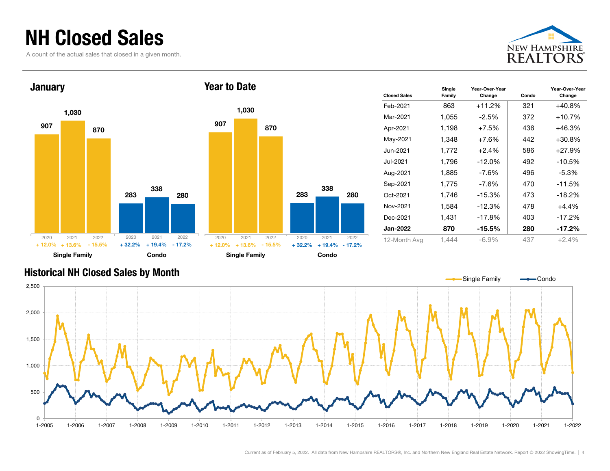### NH Closed Sales

A count of the actual sales that closed in a given month.





| <b>Closed Sales</b> | Single<br>Family | Year-Over-Year<br>Change | Condo | Year-Over-Year<br>Change |
|---------------------|------------------|--------------------------|-------|--------------------------|
| Feb-2021            | 863              | $+11.2%$                 | 321   | $+40.8%$                 |
| Mar-2021            | 1,055            | $-2.5\%$                 | 372   | +10.7%                   |
| Apr-2021            | 1,198            | $+7.5%$                  | 436   | $+46.3%$                 |
| May-2021            | 1,348            | $+7.6%$                  | 442   | $+30.8%$                 |
| Jun-2021            | 1,772            | $+2.4%$                  | 586   | +27.9%                   |
| Jul-2021            | 1,796            | $-12.0%$                 | 492   | $-10.5%$                 |
| Aug-2021            | 1,885            | -7.6%                    | 496   | $-5.3\%$                 |
| Sep-2021            | 1,775            | -7.6%                    | 470   | $-11.5%$                 |
| Oct-2021            | 1,746            | $-15.3%$                 | 473   | $-18.2%$                 |
| Nov-2021            | 1,584            | -12.3%                   | 478   | $+4.4%$                  |
| Dec-2021            | 1,431            | -17.8%                   | 403   | $-17.2%$                 |
| Jan-2022            | 870              | $-15.5\%$                | 280   | $-17.2%$                 |
| 12-Month Avg        | 1,444            | -6.9%                    | 437   | $+2.4%$                  |

#### Historical NH Closed Sales by Month



Current as of February 5, 2022. All data from New Hampshire REALTORS®, Inc. and Northern New England Real Estate Network. Report © 2022 ShowingTime. | 4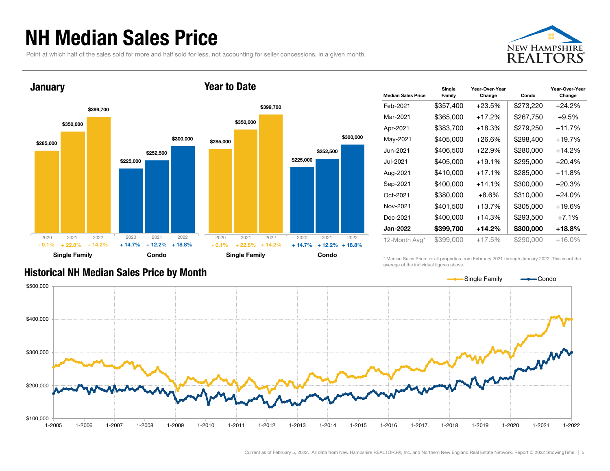#### NH Median Sales Price

Point at which half of the sales sold for more and half sold for less, not accounting for seller concessions, in a given month.





| <b>Median Sales Price</b> | Single<br>Family | Year-Over-Year<br>Change | Condo     | Year-Over-Year<br>Change |
|---------------------------|------------------|--------------------------|-----------|--------------------------|
| Feb-2021                  | \$357,400        | $+23.5%$                 | \$273,220 | $+24.2%$                 |
| Mar-2021                  | \$365,000        | $+17.2%$                 | \$267,750 | $+9.5%$                  |
| Apr-2021                  | \$383,700        | $+18.3%$                 | \$279,250 | +11.7%                   |
| May-2021                  | \$405,000        | $+26.6\%$                | \$298,400 | $+19.7\%$                |
| Jun-2021                  | \$406,500        | $+22.9%$                 | \$280,000 | +14.2%                   |
| Jul-2021                  | \$405,000        | $+19.1%$                 | \$295,000 | $+20.4%$                 |
| Aug-2021                  | \$410,000        | $+17.1%$                 | \$285,000 | +11.8%                   |
| Sep-2021                  | \$400,000        | $+14.1%$                 | \$300,000 | $+20.3%$                 |
| Oct-2021                  | \$380,000        | $+8.6%$                  | \$310,000 | $+24.0\%$                |
| Nov-2021                  | \$401,500        | $+13.7%$                 | \$305,000 | +19.6%                   |
| Dec-2021                  | \$400,000        | $+14.3%$                 | \$293,500 | $+7.1%$                  |
| Jan-2022                  | \$399,700        | $+14.2%$                 | \$300,000 | +18.8%                   |
| 12-Month Avg*             | \$399,000        | $+17.5%$                 | \$290,000 | +16.0%                   |

#### Historical NH Median Sales Price by Month

\* Median Sales Price for all properties from February 2021 through January 2022. This is not the average of the individual figures above.

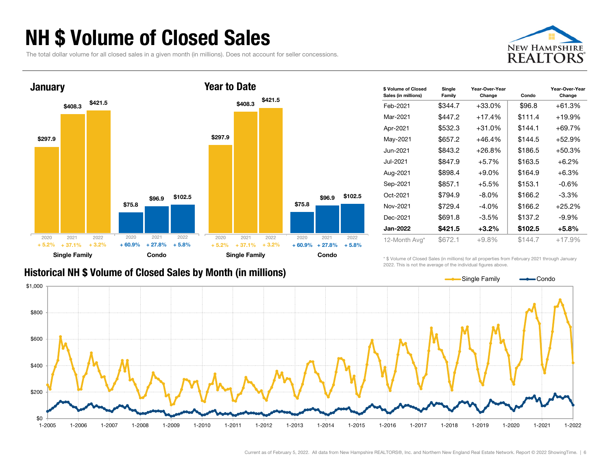### NH \$ Volume of Closed Sales

The total dollar volume for all closed sales in a given month (in millions). Does not account for seller concessions.





| \$ Volume of Closed<br>Sales (in millions) | Single<br>Family | Year-Over-Year<br>Change | Condo   | Year-Over-Year<br>Change |
|--------------------------------------------|------------------|--------------------------|---------|--------------------------|
| Feb-2021                                   | \$344.7          | $+33.0\%$                | \$96.8  | $+61.3%$                 |
| Mar-2021                                   | \$447.2          | $+17.4%$                 | \$111.4 | $+19.9%$                 |
| Apr-2021                                   | \$532.3          | $+31.0%$                 | \$144.1 | +69.7%                   |
| May-2021                                   | \$657.2          | $+46.4%$                 | \$144.5 | +52.9%                   |
| Jun-2021                                   | \$843.2          | $+26.8%$                 | \$186.5 | $+50.3%$                 |
| Jul-2021.                                  | \$847.9          | $+5.7%$                  | \$163.5 | $+6.2%$                  |
| Aug-2021                                   | \$898.4          | $+9.0\%$                 | \$164.9 | $+6.3%$                  |
| Sep-2021                                   | \$857.1          | +5.5%                    | \$153.1 | $-0.6\%$                 |
| Oct-2021                                   | \$794.9          | $-8.0\%$                 | \$166.2 | $-3.3\%$                 |
| Nov-2021                                   | \$729.4          | $-4.0\%$                 | \$166.2 | $+25.2%$                 |
| Dec-2021                                   | \$691.8          | $-3.5\%$                 | \$137.2 | $-9.9\%$                 |
| <b>Jan-2022</b>                            | \$421.5          | $+3.2%$                  | \$102.5 | $+5.8\%$                 |
| 12-Month Avg*                              | \$672.1          | $+9.8%$                  | \$144.7 | $+17.9%$                 |

#### Historical NH \$ Volume of Closed Sales by Month (in millions)

\* \$ Volume of Closed Sales (in millions) for all properties from February 2021 through January 2022. This is not the average of the individual figures above.



Current as of February 5, 2022. All data from New Hampshire REALTORS®, Inc. and Northern New England Real Estate Network. Report © 2022 ShowingTime. | 6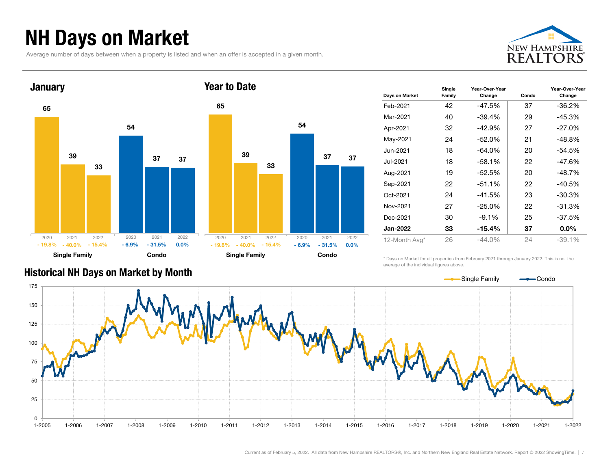### NH Days on Market

Average number of days between when a property is listed and when an offer is accepted in a given month.





| Days on Market | Single<br>Family | Year-Over-Year<br>Change | Condo | Year-Over-Year<br>Change |
|----------------|------------------|--------------------------|-------|--------------------------|
| Feb-2021       | 42               | $-47.5%$                 | 37    | -36.2%                   |
| Mar-2021       | 40               | $-39.4%$                 | 29    | $-45.3%$                 |
| Apr-2021       | 32               | $-42.9%$                 | 27    | $-27.0\%$                |
| May-2021       | 24               | $-52.0%$                 | 21    | -48.8%                   |
| Jun-2021.      | 18               | $-64.0\%$                | 20    | -54.5%                   |
| Jul-2021       | 18               | $-58.1%$                 | 22    | -47.6%                   |
| Aug-2021       | 19               | $-52.5%$                 | 20    | -48.7%                   |
| Sep-2021       | 22               | $-51.1%$                 | 22    | -40.5%                   |
| Oct-2021       | 24               | $-41.5%$                 | 23    | -30.3%                   |
| Nov-2021       | 27               | $-25.0\%$                | 22    | -31.3%                   |
| Dec-2021       | 30               | $-9.1%$                  | 25    | -37.5%                   |
| Jan-2022       | 33               | -15.4%                   | 37    | $0.0\%$                  |
| 12-Month Avg*  | 26               | $-44.0\%$                | 24    | $-39.1%$                 |

\* Days on Market for all properties from February 2021 through January 2022. This is not the average of the individual figures above.



#### Historical NH Days on Market by Month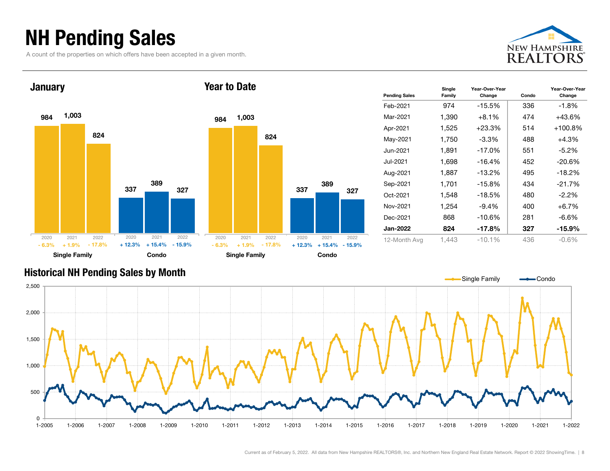### NH Pending Sales

A count of the properties on which offers have been accepted in a given month.





| <b>Pending Sales</b> | Single<br>Family | Year-Over-Year<br>Change | Condo | Year-Over-Year<br>Change |
|----------------------|------------------|--------------------------|-------|--------------------------|
| Feb-2021             | 974              | $-15.5%$                 | 336   | $-1.8%$                  |
| Mar-2021             | 1,390            | $+8.1\%$                 | 474   | $+43.6%$                 |
| Apr-2021             | 1,525            | $+23.3%$                 | 514   | $+100.8\%$               |
| May-2021             | 1,750            | $-3.3\%$                 | 488   | $+4.3%$                  |
| Jun-2021             | 1.891            | $-17.0\%$                | 551   | $-5.2\%$                 |
| Jul-2021             | 1,698            | -16.4%                   | 452   | $-20.6%$                 |
| Aug-2021             | 1,887            | $-13.2%$                 | 495   | $-18.2%$                 |
| Sep-2021             | 1.701            | $-15.8%$                 | 434   | $-21.7%$                 |
| Oct-2021             | 1,548            | $-18.5%$                 | 480   | $-2.2\%$                 |
| Nov-2021             | 1,254            | $-9.4\%$                 | 400   | $+6.7\%$                 |
| Dec-2021             | 868              | -10.6%                   | 281   | -6.6%                    |
| <b>Jan-2022</b>      | 824              | $-17.8%$                 | 327   | $-15.9%$                 |
| 12-Month Avg         | 1.443            | $-10.1\%$                | 436   | -0.6%                    |

#### Historical NH Pending Sales by Month

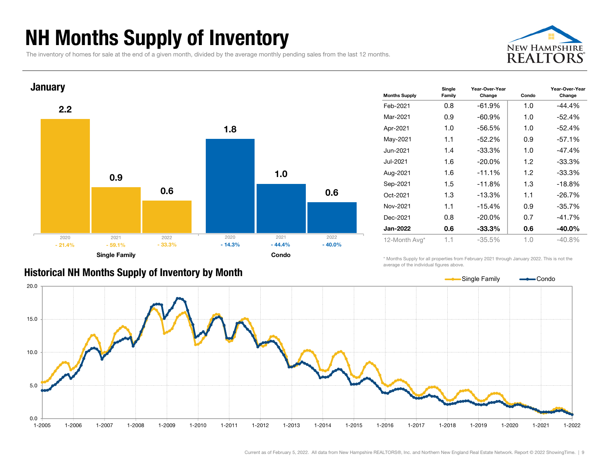### NH Months Supply of Inventory

The inventory of homes for sale at the end of a given month, divided by the average monthly pending sales from the last 12 months.





| <b>Months Supply</b> | Single<br>Family | Year-Over-Year<br>Change | Condo | Year-Over-Year<br>Change |
|----------------------|------------------|--------------------------|-------|--------------------------|
| Feb-2021             | 0.8              | $-61.9%$                 | 1.0   | $-44.4%$                 |
| Mar-2021             | 0.9              | $-60.9\%$                | 1.0   | $-52.4%$                 |
| Apr-2021             | 1.0              | $-56.5%$                 | 1.0   | $-52.4%$                 |
| May-2021             | 1.1              | $-52.2\%$                | 0.9   | $-57.1%$                 |
| Jun-2021             | 1.4              | $-33.3%$                 | 1.0   | $-47.4%$                 |
| Jul-2021             | 1.6              | $-20.0\%$                | 1.2   | $-33.3%$                 |
| Aug-2021             | 1.6              | $-11.1%$                 | 1.2   | $-33.3%$                 |
| Sep-2021             | 1.5              | $-11.8%$                 | 1.3   | $-18.8%$                 |
| Oct-2021             | 1.3              | $-13.3%$                 | 1.1   | $-26.7%$                 |
| Nov-2021             | 1.1              | $-15.4%$                 | 0.9   | $-35.7%$                 |
| Dec-2021             | 0.8              | $-20.0\%$                | 0.7   | $-41.7%$                 |
| Jan-2022             | 0.6              | $-33.3\%$                | 0.6   | -40.0%                   |
| 12-Month Avg*        | 1.1              | $-35.5%$                 | 1.0   | $-40.8%$                 |

\* Months Supply for all properties from February 2021 through January 2022. This is not the average of the individual figures above.

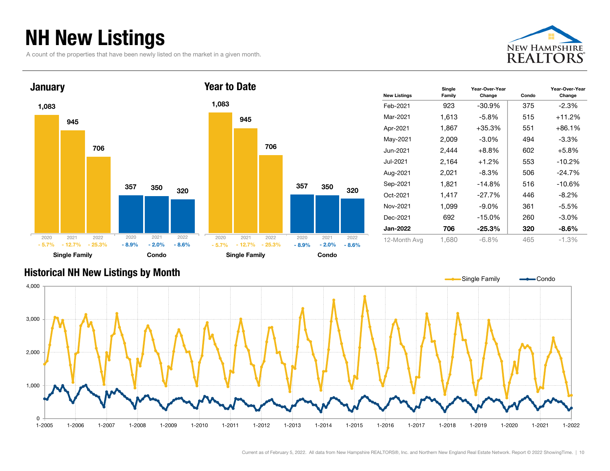### NH New Listings

A count of the properties that have been newly listed on the market in a given month.





| <b>New Listings</b> | Single<br>Family | Year-Over-Year<br>Change | Condo | Year-Over-Year<br>Change |
|---------------------|------------------|--------------------------|-------|--------------------------|
| Feb-2021            | 923              | -30.9%                   | 375   | $-2.3%$                  |
| Mar-2021            | 1,613            | $-5.8\%$                 | 515   | $+11.2%$                 |
| Apr-2021            | 1,867            | $+35.3%$                 | 551   | $+86.1%$                 |
| May-2021            | 2,009            | $-3.0\%$                 | 494   | -3.3%                    |
| Jun-2021            | 2,444            | +8.8%                    | 602   | $+5.8%$                  |
| Jul-2021            | 2,164            | $+1.2%$                  | 553   | $-10.2%$                 |
| Aug-2021            | 2,021            | -8.3%                    | 506   | $-24.7%$                 |
| Sep-2021            | 1,821            | $-14.8%$                 | 516   | $-10.6%$                 |
| Oct-2021            | 1,417            | -27.7%                   | 446   | $-8.2\%$                 |
| Nov-2021            | 1,099            | $-9.0\%$                 | 361   | $-5.5%$                  |
| Dec-2021            | 692              | $-15.0\%$                | 260   | $-3.0\%$                 |
| <b>Jan-2022</b>     | 706              | $-25.3%$                 | 320   | $-8.6\%$                 |
| 12-Month Avg        | 1,680            | -6.8%                    | 465   | $-1.3\%$                 |

#### Historical NH New Listings by Month

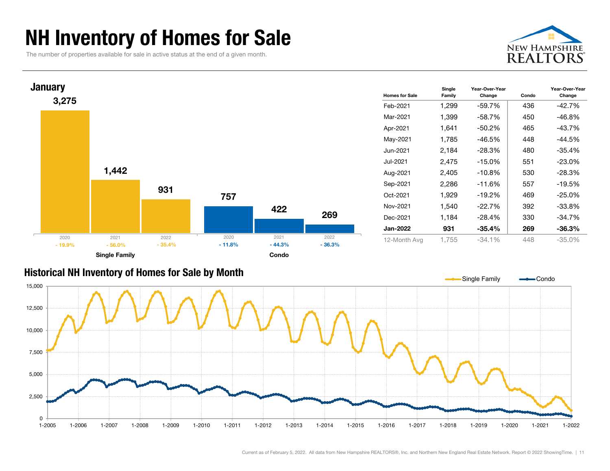### NH Inventory of Homes for Sale

The number of properties available for sale in active status at the end of a given month.





#### Historical NH Inventory of Homes for Sale by Month

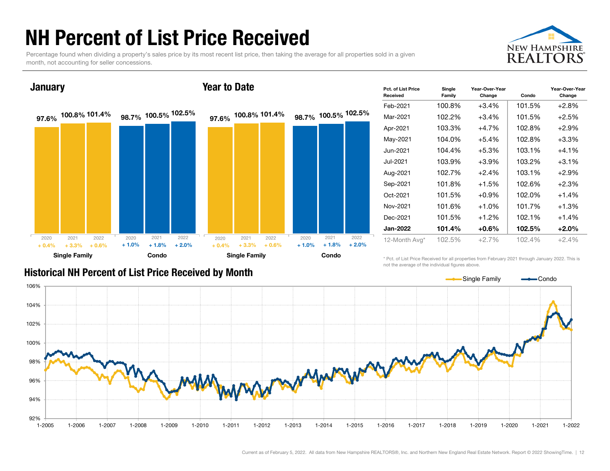### NH Percent of List Price Received

Percentage found when dividing a property's sales price by its most recent list price, then taking the average for all properties sold in a given month, not accounting for seller concessions.



#### **January**

#### Year to Date



| Pct. of List Price<br>Received | Single<br>Family | Year-Over-Year<br>Change | Condo  | Year-Over-Year<br>Change |
|--------------------------------|------------------|--------------------------|--------|--------------------------|
| Feb-2021                       | 100.8%           | $+3.4%$                  | 101.5% | $+2.8%$                  |
| Mar-2021                       | 102.2%           | $+3.4%$                  | 101.5% | $+2.5%$                  |
| Apr-2021                       | 103.3%           | $+4.7%$                  | 102.8% | $+2.9%$                  |
| May-2021                       | 104.0%           | $+5.4%$                  | 102.8% | +3.3%                    |
| Jun-2021                       | 104.4%           | $+5.3%$                  | 103.1% | $+4.1%$                  |
| Jul-2021                       | 103.9%           | $+3.9\%$                 | 103.2% | $+3.1%$                  |
| Aug-2021                       | 102.7%           | $+2.4%$                  | 103.1% | $+2.9%$                  |
| Sep-2021                       | 101.8%           | $+1.5%$                  | 102.6% | $+2.3%$                  |
| Oct-2021                       | 101.5%           | $+0.9%$                  | 102.0% | $+1.4%$                  |
| Nov-2021                       | 101.6%           | $+1.0%$                  | 101.7% | $+1.3%$                  |
| Dec-2021                       | 101.5%           | $+1.2%$                  | 102.1% | $+1.4%$                  |
| <b>Jan-2022</b>                | 101.4%           | $+0.6%$                  | 102.5% | $+2.0%$                  |
| 12-Month Avg*                  | 102.5%           | $+2.7%$                  | 102.4% | $+2.4%$                  |

#### Historical NH Percent of List Price Received by Month

\* Pct. of List Price Received for all properties from February 2021 through January 2022. This is not the average of the individual figures above.



#### Current as of February 5, 2022. All data from New Hampshire REALTORS®, Inc. and Northern New England Real Estate Network. Report © 2022 ShowingTime. | 12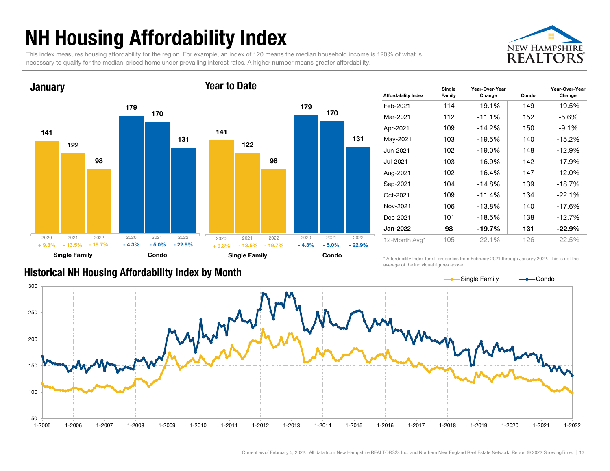### NH Housing Affordability Index

This index measures housing affordability for the region. For example, an index of 120 means the median household income is 120% of what is necessary to qualify for the median-priced home under prevailing interest rates. A higher number means greater affordability.





| <b>Affordability Index</b> | Single<br>Family | Year-Over-Year<br>Change | Condo | Year-Over-Year<br>Change |
|----------------------------|------------------|--------------------------|-------|--------------------------|
| Feb-2021                   | 114              | $-19.1%$                 | 149   | $-19.5%$                 |
| Mar-2021                   | 112              | $-11.1%$                 | 152   | -5.6%                    |
| Apr-2021                   | 109              | $-14.2%$                 | 150   | $-9.1%$                  |
| May-2021                   | 103              | $-19.5%$                 | 140   | $-15.2%$                 |
| Jun-2021                   | 102              | $-19.0\%$                | 148   | $-12.9%$                 |
| Jul-2021                   | 103              | $-16.9%$                 | 142   | $-17.9%$                 |
| Aug-2021                   | 102              | $-16.4%$                 | 147   | $-12.0%$                 |
| Sep-2021                   | 104              | $-14.8%$                 | 139   | $-18.7%$                 |
| Oct-2021                   | 109              | $-11.4%$                 | 134   | $-22.1%$                 |
| Nov-2021                   | 106              | $-13.8%$                 | 140   | $-17.6%$                 |
| Dec-2021                   | 101              | $-18.5%$                 | 138   | $-12.7%$                 |
| <b>Jan-2022</b>            | 98               | $-19.7%$                 | 131   | $-22.9%$                 |
| 12-Month Avg*              | 105              | $-22.1%$                 | 126   | $-22.5%$                 |

#### Historical NH Housing Affordability Index by Mont h

\* Affordability Index for all properties from February 2021 through January 2022. This is not the average of the individual figures above.

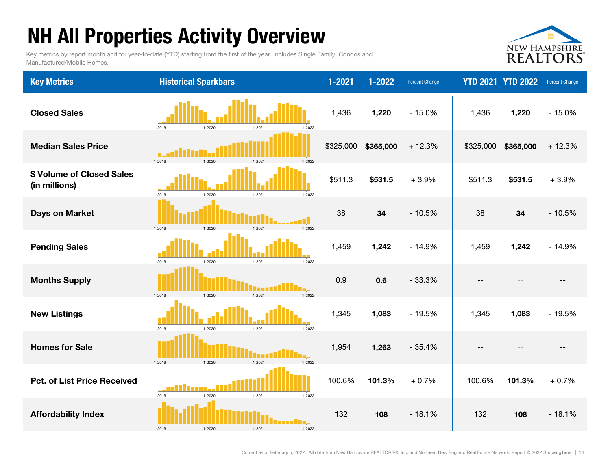## NH All Properties Activity Overview

Key metrics by report month and for year-to-date (YTD) starting from the first of the year. Includes Single Family, Condos and Manufactured/Mobile Homes.



| <b>Key Metrics</b>                         | <b>Historical Sparkbars</b>                                | $1 - 2021$ | $1 - 2022$ | <b>Percent Change</b> |           | <b>YTD 2021 YTD 2022</b> | Percent Change    |
|--------------------------------------------|------------------------------------------------------------|------------|------------|-----------------------|-----------|--------------------------|-------------------|
| <b>Closed Sales</b>                        | 1-2019<br>1-2020<br>$1 - 2021$<br>1-2022                   | 1,436      | 1,220      | $-15.0%$              | 1,436     | 1,220                    | $-15.0%$          |
| <b>Median Sales Price</b>                  | 1-2019<br>1-2020<br>1-2022<br>$1 - 2021$                   | \$325,000  | \$365,000  | $+12.3%$              | \$325,000 | \$365,000                | $+12.3%$          |
| \$ Volume of Closed Sales<br>(in millions) | 1-2019<br>$1 - 2021$<br>$1 - 2022$<br>1-2020               | \$511.3    | \$531.5    | $+3.9%$               | \$511.3   | \$531.5                  | $+3.9%$           |
| <b>Days on Market</b>                      | 1-2019<br>1-2020<br>$1 - 2021$<br>1-2022                   | 38         | 34         | $-10.5%$              | 38        | 34                       | $-10.5%$          |
| <b>Pending Sales</b>                       | 1-2019<br>$1 - 2020$<br>$1 - 2022$<br>$1 - 2021$           | 1,459      | 1,242      | $-14.9%$              | 1,459     | 1,242                    | $-14.9%$          |
| <b>Months Supply</b>                       | 1-2019<br>1-2022<br>1-2020<br>$1 - 2021$                   | 0.9        | 0.6        | $-33.3%$              | --        |                          | $-$               |
| <b>New Listings</b>                        | 1-2019<br>$1 - 2022$<br>1-2020<br>$1 - 2021$               | 1,345      | 1,083      | $-19.5%$              | 1,345     | 1,083                    | $-19.5%$          |
| <b>Homes for Sale</b>                      | 1-2019<br>$1 - 2022$<br>1-2020<br>1-2021                   | 1,954      | 1,263      | $-35.4%$              | --        |                          | $\qquad \qquad -$ |
| <b>Pct. of List Price Received</b>         | 1-2019<br>1-2020<br>$1 - 2021$<br>$1 - 2022$               | 100.6%     | 101.3%     | $+0.7%$               | 100.6%    | 101.3%                   | $+0.7%$           |
| <b>Affordability Index</b>                 | ngan <b>i Ka</b> i<br>1-2019<br>1-2020<br>1-2021<br>1-2022 | 132        | 108        | $-18.1%$              | 132       | 108                      | $-18.1%$          |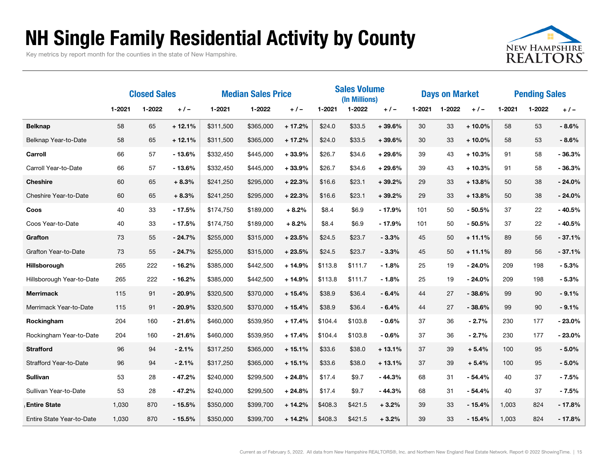### NH Single Family Residential Activity by County

Key metrics by report month for the counties in the state of New Hampshire.



|                           | <b>Closed Sales</b> |        | <b>Median Sales Price</b> |           |           | <b>Sales Volume</b><br>(In Millions) |         |         | <b>Days on Market</b> |        |        | <b>Pending Sales</b> |        |        |          |
|---------------------------|---------------------|--------|---------------------------|-----------|-----------|--------------------------------------|---------|---------|-----------------------|--------|--------|----------------------|--------|--------|----------|
|                           | 1-2021              | 1-2022 | $+/-$                     | 1-2021    | 1-2022    | $+/-$                                | 1-2021  | 1-2022  | $+/-$                 | 1-2021 | 1-2022 | $+/-$                | 1-2021 | 1-2022 | $+/-$    |
| <b>Belknap</b>            | 58                  | 65     | $+12.1%$                  | \$311,500 | \$365,000 | $+17.2%$                             | \$24.0  | \$33.5  | $+39.6%$              | 30     | 33     | $+10.0%$             | 58     | 53     | $-8.6%$  |
| Belknap Year-to-Date      | 58                  | 65     | $+12.1%$                  | \$311,500 | \$365,000 | $+17.2%$                             | \$24.0  | \$33.5  | $+39.6%$              | 30     | 33     | $+10.0%$             | 58     | 53     | $-8.6%$  |
| Carroll                   | 66                  | 57     | $-13.6%$                  | \$332,450 | \$445,000 | $+33.9%$                             | \$26.7  | \$34.6  | $+29.6%$              | 39     | 43     | $+10.3%$             | 91     | 58     | $-36.3%$ |
| Carroll Year-to-Date      | 66                  | 57     | $-13.6%$                  | \$332,450 | \$445,000 | $+33.9%$                             | \$26.7  | \$34.6  | $+29.6%$              | 39     | 43     | $+10.3%$             | 91     | 58     | $-36.3%$ |
| <b>Cheshire</b>           | 60                  | 65     | $+8.3%$                   | \$241,250 | \$295,000 | $+22.3%$                             | \$16.6  | \$23.1  | $+39.2%$              | 29     | 33     | $+13.8%$             | 50     | 38     | $-24.0%$ |
| Cheshire Year-to-Date     | 60                  | 65     | $+8.3%$                   | \$241,250 | \$295,000 | $+22.3%$                             | \$16.6  | \$23.1  | $+39.2%$              | 29     | 33     | $+13.8%$             | 50     | 38     | $-24.0%$ |
| Coos                      | 40                  | 33     | $-17.5%$                  | \$174,750 | \$189,000 | $+8.2%$                              | \$8.4   | \$6.9   | $-17.9%$              | 101    | 50     | $-50.5%$             | 37     | 22     | $-40.5%$ |
| Coos Year-to-Date         | 40                  | 33     | $-17.5%$                  | \$174,750 | \$189,000 | $+8.2%$                              | \$8.4   | \$6.9   | $-17.9%$              | 101    | 50     | $-50.5%$             | 37     | 22     | $-40.5%$ |
| Grafton                   | 73                  | 55     | $-24.7%$                  | \$255,000 | \$315,000 | $+23.5%$                             | \$24.5  | \$23.7  | $-3.3%$               | 45     | 50     | $+11.1%$             | 89     | 56     | $-37.1%$ |
| Grafton Year-to-Date      | 73                  | 55     | $-24.7%$                  | \$255,000 | \$315,000 | $+23.5%$                             | \$24.5  | \$23.7  | $-3.3%$               | 45     | 50     | $+11.1%$             | 89     | 56     | $-37.1%$ |
| Hillsborough              | 265                 | 222    | $-16.2%$                  | \$385,000 | \$442,500 | $+14.9%$                             | \$113.8 | \$111.7 | $-1.8%$               | 25     | 19     | $-24.0%$             | 209    | 198    | $-5.3%$  |
| Hillsborough Year-to-Date | 265                 | 222    | $-16.2%$                  | \$385,000 | \$442,500 | $+14.9%$                             | \$113.8 | \$111.7 | $-1.8%$               | 25     | 19     | $-24.0%$             | 209    | 198    | $-5.3%$  |
| <b>Merrimack</b>          | 115                 | 91     | $-20.9%$                  | \$320,500 | \$370,000 | $+15.4%$                             | \$38.9  | \$36.4  | $-6.4%$               | 44     | 27     | $-38.6%$             | 99     | 90     | $-9.1%$  |
| Merrimack Year-to-Date    | 115                 | 91     | $-20.9%$                  | \$320,500 | \$370,000 | $+15.4%$                             | \$38.9  | \$36.4  | - 6.4%                | 44     | 27     | $-38.6%$             | 99     | 90     | $-9.1%$  |
| Rockingham                | 204                 | 160    | $-21.6%$                  | \$460,000 | \$539,950 | $+17.4%$                             | \$104.4 | \$103.8 | $-0.6%$               | 37     | 36     | $-2.7%$              | 230    | 177    | $-23.0%$ |
| Rockingham Year-to-Date   | 204                 | 160    | $-21.6%$                  | \$460,000 | \$539,950 | $+17.4%$                             | \$104.4 | \$103.8 | $-0.6%$               | 37     | 36     | $-2.7%$              | 230    | 177    | $-23.0%$ |
| <b>Strafford</b>          | 96                  | 94     | $-2.1%$                   | \$317,250 | \$365,000 | $+15.1%$                             | \$33.6  | \$38.0  | $+13.1%$              | 37     | 39     | $+5.4%$              | 100    | 95     | $-5.0%$  |
| Strafford Year-to-Date    | 96                  | 94     | $-2.1%$                   | \$317,250 | \$365,000 | $+15.1%$                             | \$33.6  | \$38.0  | $+13.1%$              | 37     | 39     | $+5.4%$              | 100    | 95     | $-5.0%$  |
| <b>Sullivan</b>           | 53                  | 28     | $-47.2%$                  | \$240,000 | \$299,500 | $+24.8%$                             | \$17.4  | \$9.7   | $-44.3%$              | 68     | 31     | $-54.4%$             | 40     | 37     | $-7.5%$  |
| Sullivan Year-to-Date     | 53                  | 28     | $-47.2%$                  | \$240,000 | \$299,500 | $+24.8%$                             | \$17.4  | \$9.7   | $-44.3%$              | 68     | 31     | $-54.4%$             | 40     | 37     | $-7.5%$  |
| <b>Entire State</b>       | 1.030               | 870    | $-15.5%$                  | \$350,000 | \$399,700 | $+14.2%$                             | \$408.3 | \$421.5 | $+3.2%$               | 39     | 33     | $-15.4%$             | 1.003  | 824    | $-17.8%$ |
| Entire State Year-to-Date | 1,030               | 870    | $-15.5%$                  | \$350,000 | \$399,700 | $+14.2%$                             | \$408.3 | \$421.5 | $+3.2%$               | 39     | 33     | $-15.4%$             | 1,003  | 824    | $-17.8%$ |